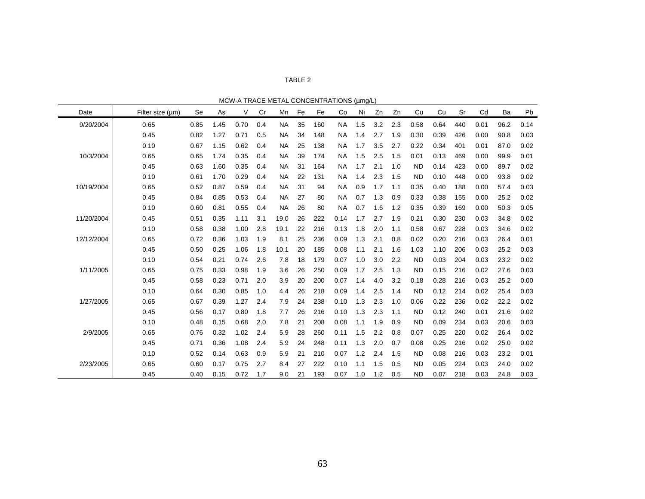| с<br>、冖 | 3। |  |
|---------|----|--|
|---------|----|--|

| MCW-A TRACE METAL CONCENTRATIONS (µmg/L) |
|------------------------------------------|
|                                          |

| <b>MUVER TRACE METAL CONCENTRATIONS</b><br>(µmg/L) |                  |      |      |      |     |           |    |     |           |     |     |     |           |      |     |      |      |      |
|----------------------------------------------------|------------------|------|------|------|-----|-----------|----|-----|-----------|-----|-----|-----|-----------|------|-----|------|------|------|
| Date                                               | Filter size (um) | Se   | As   | V    | Cr  | Mn        | Fe | Fe  | Co        | Ni  | Zn  | Zn  | Cu        | Cu   | Sr  | Cd   | Ba   | Pb   |
| 9/20/2004                                          | 0.65             | 0.85 | 1.45 | 0.70 | 0.4 | <b>NA</b> | 35 | 160 | <b>NA</b> | 1.5 | 3.2 | 2.3 | 0.58      | 0.64 | 440 | 0.01 | 96.2 | 0.14 |
|                                                    | 0.45             | 0.82 | 1.27 | 0.71 | 0.5 | <b>NA</b> | 34 | 148 | <b>NA</b> | 1.4 | 2.7 | 1.9 | 0.30      | 0.39 | 426 | 0.00 | 90.8 | 0.03 |
|                                                    | 0.10             | 0.67 | 1.15 | 0.62 | 0.4 | <b>NA</b> | 25 | 138 | <b>NA</b> | 1.7 | 3.5 | 2.7 | 0.22      | 0.34 | 401 | 0.01 | 87.0 | 0.02 |
| 10/3/2004                                          | 0.65             | 0.65 | 1.74 | 0.35 | 0.4 | <b>NA</b> | 39 | 174 | <b>NA</b> | 1.5 | 2.5 | 1.5 | 0.01      | 0.13 | 469 | 0.00 | 99.9 | 0.01 |
|                                                    | 0.45             | 0.63 | 1.60 | 0.35 | 0.4 | <b>NA</b> | 31 | 164 | <b>NA</b> | 1.7 | 2.1 | 1.0 | <b>ND</b> | 0.14 | 423 | 0.00 | 89.7 | 0.02 |
|                                                    | 0.10             | 0.61 | 1.70 | 0.29 | 0.4 | <b>NA</b> | 22 | 131 | <b>NA</b> | 1.4 | 2.3 | 1.5 | <b>ND</b> | 0.10 | 448 | 0.00 | 93.8 | 0.02 |
| 10/19/2004                                         | 0.65             | 0.52 | 0.87 | 0.59 | 0.4 | <b>NA</b> | 31 | 94  | <b>NA</b> | 0.9 | 1.7 | 1.1 | 0.35      | 0.40 | 188 | 0.00 | 57.4 | 0.03 |
|                                                    | 0.45             | 0.84 | 0.85 | 0.53 | 0.4 | <b>NA</b> | 27 | 80  | <b>NA</b> | 0.7 | 1.3 | 0.9 | 0.33      | 0.38 | 155 | 0.00 | 25.2 | 0.02 |
|                                                    | 0.10             | 0.60 | 0.81 | 0.55 | 0.4 | <b>NA</b> | 26 | 80  | <b>NA</b> | 0.7 | 1.6 | 1.2 | 0.35      | 0.39 | 169 | 0.00 | 50.3 | 0.05 |
| 11/20/2004                                         | 0.45             | 0.51 | 0.35 | 1.11 | 3.1 | 19.0      | 26 | 222 | 0.14      | 1.7 | 2.7 | 1.9 | 0.21      | 0.30 | 230 | 0.03 | 34.8 | 0.02 |
|                                                    | 0.10             | 0.58 | 0.38 | 1.00 | 2.8 | 19.1      | 22 | 216 | 0.13      | 1.8 | 2.0 | 1.1 | 0.58      | 0.67 | 228 | 0.03 | 34.6 | 0.02 |
| 12/12/2004                                         | 0.65             | 0.72 | 0.36 | 1.03 | 1.9 | 8.1       | 25 | 236 | 0.09      | 1.3 | 2.1 | 0.8 | 0.02      | 0.20 | 216 | 0.03 | 26.4 | 0.01 |
|                                                    | 0.45             | 0.50 | 0.25 | 1.06 | 1.8 | 10.1      | 20 | 185 | 0.08      | 1.1 | 2.1 | 1.6 | 1.03      | 1.10 | 206 | 0.03 | 25.2 | 0.03 |
|                                                    | 0.10             | 0.54 | 0.21 | 0.74 | 2.6 | 7.8       | 18 | 179 | 0.07      | 1.0 | 3.0 | 2.2 | <b>ND</b> | 0.03 | 204 | 0.03 | 23.2 | 0.02 |
| 1/11/2005                                          | 0.65             | 0.75 | 0.33 | 0.98 | 1.9 | 3.6       | 26 | 250 | 0.09      | 1.7 | 2.5 | 1.3 | <b>ND</b> | 0.15 | 216 | 0.02 | 27.6 | 0.03 |
|                                                    | 0.45             | 0.58 | 0.23 | 0.71 | 2.0 | 3.9       | 20 | 200 | 0.07      | 1.4 | 4.0 | 3.2 | 0.18      | 0.28 | 216 | 0.03 | 25.2 | 0.00 |
|                                                    | 0.10             | 0.64 | 0.30 | 0.85 | 1.0 | 4.4       | 26 | 218 | 0.09      | 1.4 | 2.5 | 1.4 | <b>ND</b> | 0.12 | 214 | 0.02 | 25.4 | 0.03 |
| 1/27/2005                                          | 0.65             | 0.67 | 0.39 | 1.27 | 2.4 | 7.9       | 24 | 238 | 0.10      | 1.3 | 2.3 | 1.0 | 0.06      | 0.22 | 236 | 0.02 | 22.2 | 0.02 |
|                                                    | 0.45             | 0.56 | 0.17 | 0.80 | 1.8 | 7.7       | 26 | 216 | 0.10      | 1.3 | 2.3 | 1.1 | <b>ND</b> | 0.12 | 240 | 0.01 | 21.6 | 0.02 |
|                                                    | 0.10             | 0.48 | 0.15 | 0.68 | 2.0 | 7.8       | 21 | 208 | 0.08      | 1.1 | 1.9 | 0.9 | <b>ND</b> | 0.09 | 234 | 0.03 | 20.6 | 0.03 |
| 2/9/2005                                           | 0.65             | 0.76 | 0.32 | 1.02 | 2.4 | 5.9       | 28 | 260 | 0.11      | 1.5 | 2.2 | 0.8 | 0.07      | 0.25 | 220 | 0.02 | 26.4 | 0.02 |
|                                                    | 0.45             | 0.71 | 0.36 | 1.08 | 2.4 | 5.9       | 24 | 248 | 0.11      | 1.3 | 2.0 | 0.7 | 0.08      | 0.25 | 216 | 0.02 | 25.0 | 0.02 |
|                                                    | 0.10             | 0.52 | 0.14 | 0.63 | 0.9 | 5.9       | 21 | 210 | 0.07      | 1.2 | 2.4 | 1.5 | <b>ND</b> | 0.08 | 216 | 0.03 | 23.2 | 0.01 |
| 2/23/2005                                          | 0.65             | 0.60 | 0.17 | 0.75 | 2.7 | 8.4       | 27 | 222 | 0.10      | 1.1 | 1.5 | 0.5 | <b>ND</b> | 0.05 | 224 | 0.03 | 24.0 | 0.02 |
|                                                    | 0.45             | 0.40 | 0.15 | 0.72 | 1.7 | 9.0       | 21 | 193 | 0.07      | 1.0 | 1.2 | 0.5 | <b>ND</b> | 0.07 | 218 | 0.03 | 24.8 | 0.03 |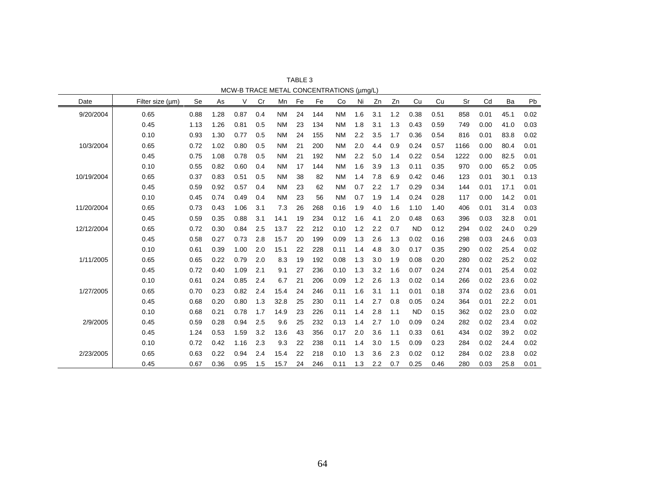| Date       | Filter size (um) | Se   | As   | ٧    | Cr  | Mn        | Fe | Fe  | <b>MCW-D TNACE METAL CONCENTRATIONS (µHIGL)</b><br>Co | Ni  | Zn      | Zn  | Cu        | Cu   | Sr   | Cd   | Ba   | Pb   |
|------------|------------------|------|------|------|-----|-----------|----|-----|-------------------------------------------------------|-----|---------|-----|-----------|------|------|------|------|------|
| 9/20/2004  | 0.65             | 0.88 | 1.28 | 0.87 | 0.4 | <b>NM</b> | 24 | 144 | <b>NM</b>                                             | 1.6 | 3.1     | 1.2 | 0.38      | 0.51 | 858  | 0.01 | 45.1 | 0.02 |
|            | 0.45             | 1.13 | 1.26 | 0.81 | 0.5 | <b>NM</b> | 23 | 134 | <b>NM</b>                                             | 1.8 | 3.1     | 1.3 | 0.43      | 0.59 | 749  | 0.00 | 41.0 | 0.03 |
|            | 0.10             | 0.93 | 1.30 | 0.77 | 0.5 | <b>NM</b> | 24 | 155 | <b>NM</b>                                             | 2.2 | 3.5     | 1.7 | 0.36      | 0.54 | 816  | 0.01 | 83.8 | 0.02 |
| 10/3/2004  | 0.65             | 0.72 | 1.02 | 0.80 | 0.5 | <b>NM</b> | 21 | 200 | <b>NM</b>                                             | 2.0 | 4.4     | 0.9 | 0.24      | 0.57 | 1166 | 0.00 | 80.4 | 0.01 |
|            | 0.45             | 0.75 | 1.08 | 0.78 | 0.5 | <b>NM</b> | 21 | 192 | <b>NM</b>                                             | 2.2 | 5.0     | 1.4 | 0.22      | 0.54 | 1222 | 0.00 | 82.5 | 0.01 |
|            | 0.10             | 0.55 | 0.82 | 0.60 | 0.4 | <b>NM</b> | 17 | 144 | <b>NM</b>                                             | 1.6 | 3.9     | 1.3 | 0.11      | 0.35 | 970  | 0.00 | 65.2 | 0.05 |
| 10/19/2004 | 0.65             | 0.37 | 0.83 | 0.51 | 0.5 | <b>NM</b> | 38 | 82  | <b>NM</b>                                             | 1.4 | 7.8     | 6.9 | 0.42      | 0.46 | 123  | 0.01 | 30.1 | 0.13 |
|            | 0.45             | 0.59 | 0.92 | 0.57 | 0.4 | <b>NM</b> | 23 | 62  | <b>NM</b>                                             | 0.7 | 2.2     | 1.7 | 0.29      | 0.34 | 144  | 0.01 | 17.1 | 0.01 |
|            | 0.10             | 0.45 | 0.74 | 0.49 | 0.4 | <b>NM</b> | 23 | 56  | <b>NM</b>                                             | 0.7 | 1.9     | 1.4 | 0.24      | 0.28 | 117  | 0.00 | 14.2 | 0.01 |
| 11/20/2004 | 0.65             | 0.73 | 0.43 | 1.06 | 3.1 | 7.3       | 26 | 268 | 0.16                                                  | 1.9 | 4.0     | 1.6 | 1.10      | 1.40 | 406  | 0.01 | 31.4 | 0.03 |
|            | 0.45             | 0.59 | 0.35 | 0.88 | 3.1 | 14.1      | 19 | 234 | 0.12                                                  | 1.6 | 4.1     | 2.0 | 0.48      | 0.63 | 396  | 0.03 | 32.8 | 0.01 |
| 12/12/2004 | 0.65             | 0.72 | 0.30 | 0.84 | 2.5 | 13.7      | 22 | 212 | 0.10                                                  | 1.2 | 2.2     | 0.7 | <b>ND</b> | 0.12 | 294  | 0.02 | 24.0 | 0.29 |
|            | 0.45             | 0.58 | 0.27 | 0.73 | 2.8 | 15.7      | 20 | 199 | 0.09                                                  | 1.3 | 2.6     | 1.3 | 0.02      | 0.16 | 298  | 0.03 | 24.6 | 0.03 |
|            | 0.10             | 0.61 | 0.39 | 1.00 | 2.0 | 15.1      | 22 | 228 | 0.11                                                  | 1.4 | 4.8     | 3.0 | 0.17      | 0.35 | 290  | 0.02 | 25.4 | 0.02 |
| 1/11/2005  | 0.65             | 0.65 | 0.22 | 0.79 | 2.0 | 8.3       | 19 | 192 | 0.08                                                  | 1.3 | 3.0     | 1.9 | 0.08      | 0.20 | 280  | 0.02 | 25.2 | 0.02 |
|            | 0.45             | 0.72 | 0.40 | 1.09 | 2.1 | 9.1       | 27 | 236 | 0.10                                                  | 1.3 | 3.2     | 1.6 | 0.07      | 0.24 | 274  | 0.01 | 25.4 | 0.02 |
|            | 0.10             | 0.61 | 0.24 | 0.85 | 2.4 | 6.7       | 21 | 206 | 0.09                                                  | 1.2 | 2.6     | 1.3 | 0.02      | 0.14 | 266  | 0.02 | 23.6 | 0.02 |
| 1/27/2005  | 0.65             | 0.70 | 0.23 | 0.82 | 2.4 | 15.4      | 24 | 246 | 0.11                                                  | 1.6 | 3.1     | 1.1 | 0.01      | 0.18 | 374  | 0.02 | 23.6 | 0.01 |
|            | 0.45             | 0.68 | 0.20 | 0.80 | 1.3 | 32.8      | 25 | 230 | 0.11                                                  | 1.4 | 2.7     | 0.8 | 0.05      | 0.24 | 364  | 0.01 | 22.2 | 0.01 |
|            | 0.10             | 0.68 | 0.21 | 0.78 | 1.7 | 14.9      | 23 | 226 | 0.11                                                  | 1.4 | 2.8     | 1.1 | <b>ND</b> | 0.15 | 362  | 0.02 | 23.0 | 0.02 |
| 2/9/2005   | 0.45             | 0.59 | 0.28 | 0.94 | 2.5 | 9.6       | 25 | 232 | 0.13                                                  | 1.4 | 2.7     | 1.0 | 0.09      | 0.24 | 282  | 0.02 | 23.4 | 0.02 |
|            | 0.45             | 1.24 | 0.53 | 1.59 | 3.2 | 13.6      | 43 | 356 | 0.17                                                  | 2.0 | 3.6     | 1.1 | 0.33      | 0.61 | 434  | 0.02 | 39.2 | 0.02 |
|            | 0.10             | 0.72 | 0.42 | 1.16 | 2.3 | 9.3       | 22 | 238 | 0.11                                                  | 1.4 | 3.0     | 1.5 | 0.09      | 0.23 | 284  | 0.02 | 24.4 | 0.02 |
| 2/23/2005  | 0.65             | 0.63 | 0.22 | 0.94 | 2.4 | 15.4      | 22 | 218 | 0.10                                                  | 1.3 | 3.6     | 2.3 | 0.02      | 0.12 | 284  | 0.02 | 23.8 | 0.02 |
|            | 0.45             | 0.67 | 0.36 | 0.95 | 1.5 | 15.7      | 24 | 246 | 0.11                                                  | 1.3 | $2.2\,$ | 0.7 | 0.25      | 0.46 | 280  | 0.03 | 25.8 | 0.01 |

TABLE 3 MCW-B TRACE METAL CONCENTRATIONS (µmg/L)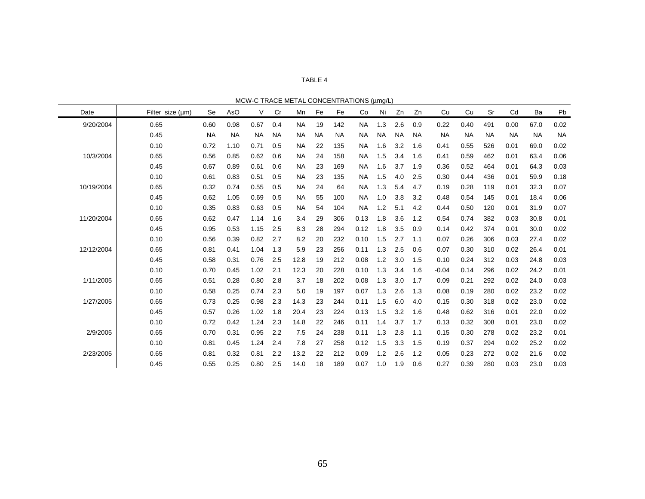## TABLE 4

MCW-C TRACE METAL CONCENTRATIONS (µmg/L)

| Date       | Filter size (µm) | Se        | AsO       | ٧         | Cr        | Mn        | Fe        | Fe  | <b>MON'-O TIVADE METAL OCNOLISTIVATIONO (pring/L)</b><br>Co | Ni        | Zn        | Zn        | Cu        | Cu        | Sr        | Cd        | Ba        | Pb        |
|------------|------------------|-----------|-----------|-----------|-----------|-----------|-----------|-----|-------------------------------------------------------------|-----------|-----------|-----------|-----------|-----------|-----------|-----------|-----------|-----------|
| 9/20/2004  | 0.65             | 0.60      | 0.98      | 0.67      | 0.4       | <b>NA</b> | 19        | 142 | <b>NA</b>                                                   | 1.3       | 2.6       | 0.9       | 0.22      | 0.40      | 491       | 0.00      | 67.0      | 0.02      |
|            | 0.45             | <b>NA</b> | <b>NA</b> | <b>NA</b> | <b>NA</b> | <b>NA</b> | <b>NA</b> | NA  | ΝA                                                          | <b>NA</b> | <b>NA</b> | <b>NA</b> | <b>NA</b> | <b>NA</b> | <b>NA</b> | <b>NA</b> | <b>NA</b> | <b>NA</b> |
|            | 0.10             | 0.72      | 1.10      | 0.71      | 0.5       | <b>NA</b> | 22        | 135 | <b>NA</b>                                                   | 1.6       | 3.2       | 1.6       | 0.41      | 0.55      | 526       | 0.01      | 69.0      | 0.02      |
| 10/3/2004  | 0.65             | 0.56      | 0.85      | 0.62      | 0.6       | <b>NA</b> | 24        | 158 | NA                                                          | 1.5       | 3.4       | 1.6       | 0.41      | 0.59      | 462       | 0.01      | 63.4      | 0.06      |
|            | 0.45             | 0.67      | 0.89      | 0.61      | 0.6       | <b>NA</b> | 23        | 169 | <b>NA</b>                                                   | 1.6       | 3.7       | 1.9       | 0.36      | 0.52      | 464       | 0.01      | 64.3      | 0.03      |
|            | 0.10             | 0.61      | 0.83      | 0.51      | 0.5       | <b>NA</b> | 23        | 135 | ΝA                                                          | 1.5       | 4.0       | 2.5       | 0.30      | 0.44      | 436       | 0.01      | 59.9      | 0.18      |
| 10/19/2004 | 0.65             | 0.32      | 0.74      | 0.55      | 0.5       | <b>NA</b> | 24        | 64  | <b>NA</b>                                                   | 1.3       | 5.4       | 4.7       | 0.19      | 0.28      | 119       | 0.01      | 32.3      | 0.07      |
|            | 0.45             | 0.62      | 1.05      | 0.69      | 0.5       | <b>NA</b> | 55        | 100 | ΝA                                                          | 1.0       | 3.8       | 3.2       | 0.48      | 0.54      | 145       | 0.01      | 18.4      | 0.06      |
|            | 0.10             | 0.35      | 0.83      | 0.63      | 0.5       | <b>NA</b> | 54        | 104 | <b>NA</b>                                                   | 1.2       | 5.1       | 4.2       | 0.44      | 0.50      | 120       | 0.01      | 31.9      | 0.07      |
| 11/20/2004 | 0.65             | 0.62      | 0.47      | 1.14      | 1.6       | 3.4       | 29        | 306 | 0.13                                                        | 1.8       | 3.6       | 1.2       | 0.54      | 0.74      | 382       | 0.03      | 30.8      | 0.01      |
|            | 0.45             | 0.95      | 0.53      | 1.15      | 2.5       | 8.3       | 28        | 294 | 0.12                                                        | 1.8       | 3.5       | 0.9       | 0.14      | 0.42      | 374       | 0.01      | 30.0      | 0.02      |
|            | 0.10             | 0.56      | 0.39      | 0.82      | 2.7       | 8.2       | 20        | 232 | 0.10                                                        | 1.5       | 2.7       | 1.1       | 0.07      | 0.26      | 306       | 0.03      | 27.4      | 0.02      |
| 12/12/2004 | 0.65             | 0.81      | 0.41      | 1.04      | 1.3       | 5.9       | 23        | 256 | 0.11                                                        | 1.3       | 2.5       | 0.6       | 0.07      | 0.30      | 310       | 0.02      | 26.4      | 0.01      |
|            | 0.45             | 0.58      | 0.31      | 0.76      | 2.5       | 12.8      | 19        | 212 | 0.08                                                        | 1.2       | 3.0       | 1.5       | 0.10      | 0.24      | 312       | 0.03      | 24.8      | 0.03      |
|            | 0.10             | 0.70      | 0.45      | 1.02      | 2.1       | 12.3      | 20        | 228 | 0.10                                                        | 1.3       | 3.4       | 1.6       | $-0.04$   | 0.14      | 296       | 0.02      | 24.2      | 0.01      |
| 1/11/2005  | 0.65             | 0.51      | 0.28      | 0.80      | 2.8       | 3.7       | 18        | 202 | 0.08                                                        | 1.3       | 3.0       | 1.7       | 0.09      | 0.21      | 292       | 0.02      | 24.0      | 0.03      |
|            | 0.10             | 0.58      | 0.25      | 0.74      | 2.3       | 5.0       | 19        | 197 | 0.07                                                        | 1.3       | 2.6       | 1.3       | 0.08      | 0.19      | 280       | 0.02      | 23.2      | 0.02      |
| 1/27/2005  | 0.65             | 0.73      | 0.25      | 0.98      | 2.3       | 14.3      | 23        | 244 | 0.11                                                        | 1.5       | 6.0       | 4.0       | 0.15      | 0.30      | 318       | 0.02      | 23.0      | 0.02      |
|            | 0.45             | 0.57      | 0.26      | 1.02      | 1.8       | 20.4      | 23        | 224 | 0.13                                                        | 1.5       | 3.2       | 1.6       | 0.48      | 0.62      | 316       | 0.01      | 22.0      | 0.02      |
|            | 0.10             | 0.72      | 0.42      | 1.24      | 2.3       | 14.8      | 22        | 246 | 0.11                                                        | 1.4       | 3.7       | 1.7       | 0.13      | 0.32      | 308       | 0.01      | 23.0      | 0.02      |
| 2/9/2005   | 0.65             | 0.70      | 0.31      | 0.95      | 2.2       | 7.5       | 24        | 238 | 0.11                                                        | 1.3       | 2.8       | 1.1       | 0.15      | 0.30      | 278       | 0.02      | 23.2      | 0.01      |
|            | 0.10             | 0.81      | 0.45      | 1.24      | 2.4       | 7.8       | 27        | 258 | 0.12                                                        | 1.5       | 3.3       | 1.5       | 0.19      | 0.37      | 294       | 0.02      | 25.2      | 0.02      |
| 2/23/2005  | 0.65             | 0.81      | 0.32      | 0.81      | 2.2       | 13.2      | 22        | 212 | 0.09                                                        | 1.2       | 2.6       | 1.2       | 0.05      | 0.23      | 272       | 0.02      | 21.6      | 0.02      |
|            | 0.45             | 0.55      | 0.25      | 0.80      | 2.5       | 14.0      | 18        | 189 | 0.07                                                        | 1.0       | 1.9       | 0.6       | 0.27      | 0.39      | 280       | 0.03      | 23.0      | 0.03      |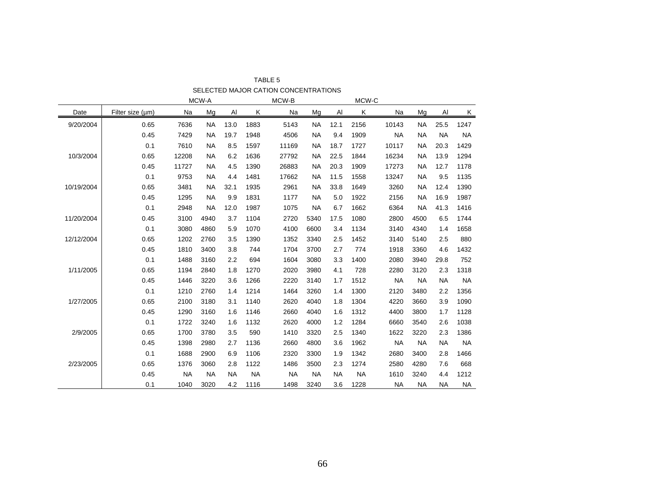|            |                  |           | MCW-A     |           |           | MCW-B     |           |           | MCW-C     |           |           |           |           |
|------------|------------------|-----------|-----------|-----------|-----------|-----------|-----------|-----------|-----------|-----------|-----------|-----------|-----------|
| Date       | Filter size (µm) | Na        | Mg        | Al        | Κ         | Na        | Mg        | Al        | Κ         | Na        | Mg        | Al        | K         |
| 9/20/2004  | 0.65             | 7636      | <b>NA</b> | 13.0      | 1883      | 5143      | <b>NA</b> | 12.1      | 2156      | 10143     | <b>NA</b> | 25.5      | 1247      |
|            | 0.45             | 7429      | <b>NA</b> | 19.7      | 1948      | 4506      | <b>NA</b> | 9.4       | 1909      | <b>NA</b> | <b>NA</b> | <b>NA</b> | <b>NA</b> |
|            | 0.1              | 7610      | <b>NA</b> | 8.5       | 1597      | 11169     | <b>NA</b> | 18.7      | 1727      | 10117     | <b>NA</b> | 20.3      | 1429      |
| 10/3/2004  | 0.65             | 12208     | <b>NA</b> | 6.2       | 1636      | 27792     | NA        | 22.5      | 1844      | 16234     | <b>NA</b> | 13.9      | 1294      |
|            | 0.45             | 11727     | <b>NA</b> | 4.5       | 1390      | 26883     | <b>NA</b> | 20.3      | 1909      | 17273     | <b>NA</b> | 12.7      | 1178      |
|            | 0.1              | 9753      | <b>NA</b> | 4.4       | 1481      | 17662     | <b>NA</b> | 11.5      | 1558      | 13247     | <b>NA</b> | 9.5       | 1135      |
| 10/19/2004 | 0.65             | 3481      | <b>NA</b> | 32.1      | 1935      | 2961      | <b>NA</b> | 33.8      | 1649      | 3260      | <b>NA</b> | 12.4      | 1390      |
|            | 0.45             | 1295      | <b>NA</b> | 9.9       | 1831      | 1177      | <b>NA</b> | 5.0       | 1922      | 2156      | <b>NA</b> | 16.9      | 1987      |
|            | 0.1              | 2948      | <b>NA</b> | 12.0      | 1987      | 1075      | <b>NA</b> | 6.7       | 1662      | 6364      | <b>NA</b> | 41.3      | 1416      |
| 11/20/2004 | 0.45             | 3100      | 4940      | 3.7       | 1104      | 2720      | 5340      | 17.5      | 1080      | 2800      | 4500      | 6.5       | 1744      |
|            | 0.1              | 3080      | 4860      | 5.9       | 1070      | 4100      | 6600      | 3.4       | 1134      | 3140      | 4340      | 1.4       | 1658      |
| 12/12/2004 | 0.65             | 1202      | 2760      | 3.5       | 1390      | 1352      | 3340      | 2.5       | 1452      | 3140      | 5140      | 2.5       | 880       |
|            | 0.45             | 1810      | 3400      | 3.8       | 744       | 1704      | 3700      | 2.7       | 774       | 1918      | 3360      | 4.6       | 1432      |
|            | 0.1              | 1488      | 3160      | 2.2       | 694       | 1604      | 3080      | 3.3       | 1400      | 2080      | 3940      | 29.8      | 752       |
| 1/11/2005  | 0.65             | 1194      | 2840      | 1.8       | 1270      | 2020      | 3980      | 4.1       | 728       | 2280      | 3120      | 2.3       | 1318      |
|            | 0.45             | 1446      | 3220      | 3.6       | 1266      | 2220      | 3140      | 1.7       | 1512      | <b>NA</b> | <b>NA</b> | <b>NA</b> | <b>NA</b> |
|            | 0.1              | 1210      | 2760      | 1.4       | 1214      | 1464      | 3260      | 1.4       | 1300      | 2120      | 3480      | 2.2       | 1356      |
| 1/27/2005  | 0.65             | 2100      | 3180      | 3.1       | 1140      | 2620      | 4040      | 1.8       | 1304      | 4220      | 3660      | 3.9       | 1090      |
|            | 0.45             | 1290      | 3160      | 1.6       | 1146      | 2660      | 4040      | 1.6       | 1312      | 4400      | 3800      | 1.7       | 1128      |
|            | 0.1              | 1722      | 3240      | 1.6       | 1132      | 2620      | 4000      | 1.2       | 1284      | 6660      | 3540      | 2.6       | 1038      |
| 2/9/2005   | 0.65             | 1700      | 3780      | 3.5       | 590       | 1410      | 3320      | 2.5       | 1340      | 1622      | 3220      | 2.3       | 1386      |
|            | 0.45             | 1398      | 2980      | 2.7       | 1136      | 2660      | 4800      | 3.6       | 1962      | <b>NA</b> | <b>NA</b> | <b>NA</b> | <b>NA</b> |
|            | 0.1              | 1688      | 2900      | 6.9       | 1106      | 2320      | 3300      | 1.9       | 1342      | 2680      | 3400      | 2.8       | 1466      |
| 2/23/2005  | 0.65             | 1376      | 3060      | 2.8       | 1122      | 1486      | 3500      | 2.3       | 1274      | 2580      | 4280      | 7.6       | 668       |
|            | 0.45             | <b>NA</b> | <b>NA</b> | <b>NA</b> | <b>NA</b> | <b>NA</b> | <b>NA</b> | <b>NA</b> | <b>NA</b> | 1610      | 3240      | 4.4       | 1212      |
|            | 0.1              | 1040      | 3020      | 4.2       | 1116      | 1498      | 3240      | 3.6       | 1228      | <b>NA</b> | <b>NA</b> | <b>NA</b> | <b>NA</b> |

TABLE 5 SELECTED MAJOR CATION CONCENTRATIONS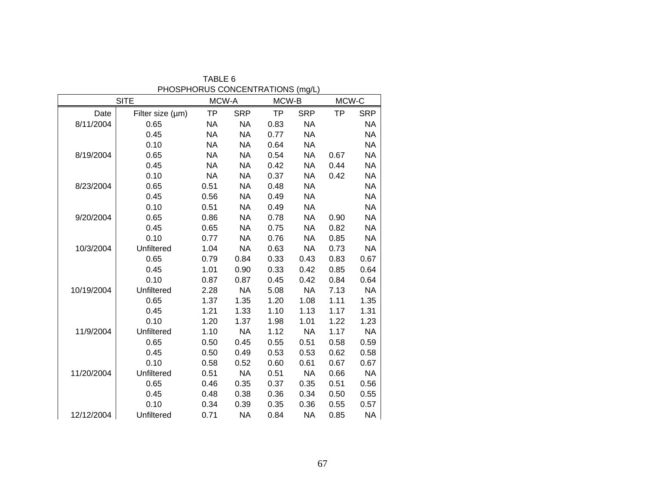|            | <b>SITE</b>      | MCW-A     |            | MCW-B     |            | MCW-C     |            |
|------------|------------------|-----------|------------|-----------|------------|-----------|------------|
| Date       | Filter size (µm) | <b>TP</b> | <b>SRP</b> | <b>TP</b> | <b>SRP</b> | <b>TP</b> | <b>SRP</b> |
| 8/11/2004  | 0.65             | <b>NA</b> | <b>NA</b>  | 0.83      | <b>NA</b>  |           | <b>NA</b>  |
|            | 0.45             | <b>NA</b> | <b>NA</b>  | 0.77      | <b>NA</b>  |           | <b>NA</b>  |
|            | 0.10             | <b>NA</b> | <b>NA</b>  | 0.64      | <b>NA</b>  |           | <b>NA</b>  |
| 8/19/2004  | 0.65             | <b>NA</b> | <b>NA</b>  | 0.54      | <b>NA</b>  | 0.67      | <b>NA</b>  |
|            | 0.45             | <b>NA</b> | <b>NA</b>  | 0.42      | <b>NA</b>  | 0.44      | <b>NA</b>  |
|            | 0.10             | <b>NA</b> | <b>NA</b>  | 0.37      | <b>NA</b>  | 0.42      | <b>NA</b>  |
| 8/23/2004  | 0.65             | 0.51      | <b>NA</b>  | 0.48      | <b>NA</b>  |           | <b>NA</b>  |
|            | 0.45             | 0.56      | <b>NA</b>  | 0.49      | <b>NA</b>  |           | <b>NA</b>  |
|            | 0.10             | 0.51      | <b>NA</b>  | 0.49      | <b>NA</b>  |           | <b>NA</b>  |
| 9/20/2004  | 0.65             | 0.86      | <b>NA</b>  | 0.78      | <b>NA</b>  | 0.90      | <b>NA</b>  |
|            | 0.45             | 0.65      | <b>NA</b>  | 0.75      | <b>NA</b>  | 0.82      | <b>NA</b>  |
|            | 0.10             | 0.77      | <b>NA</b>  | 0.76      | NA         | 0.85      | <b>NA</b>  |
| 10/3/2004  | Unfiltered       | 1.04      | <b>NA</b>  | 0.63      | <b>NA</b>  | 0.73      | <b>NA</b>  |
|            | 0.65             | 0.79      | 0.84       | 0.33      | 0.43       | 0.83      | 0.67       |
|            | 0.45             | 1.01      | 0.90       | 0.33      | 0.42       | 0.85      | 0.64       |
|            | 0.10             | 0.87      | 0.87       | 0.45      | 0.42       | 0.84      | 0.64       |
| 10/19/2004 | Unfiltered       | 2.28      | <b>NA</b>  | 5.08      | <b>NA</b>  | 7.13      | <b>NA</b>  |
|            | 0.65             | 1.37      | 1.35       | 1.20      | 1.08       | 1.11      | 1.35       |
|            | 0.45             | 1.21      | 1.33       | 1.10      | 1.13       | 1.17      | 1.31       |
|            | 0.10             | 1.20      | 1.37       | 1.98      | 1.01       | 1.22      | 1.23       |
| 11/9/2004  | Unfiltered       | 1.10      | <b>NA</b>  | 1.12      | <b>NA</b>  | 1.17      | <b>NA</b>  |
|            | 0.65             | 0.50      | 0.45       | 0.55      | 0.51       | 0.58      | 0.59       |
|            | 0.45             | 0.50      | 0.49       | 0.53      | 0.53       | 0.62      | 0.58       |
|            | 0.10             | 0.58      | 0.52       | 0.60      | 0.61       | 0.67      | 0.67       |
| 11/20/2004 | Unfiltered       | 0.51      | <b>NA</b>  | 0.51      | <b>NA</b>  | 0.66      | <b>NA</b>  |
|            | 0.65             | 0.46      | 0.35       | 0.37      | 0.35       | 0.51      | 0.56       |
|            | 0.45             | 0.48      | 0.38       | 0.36      | 0.34       | 0.50      | 0.55       |
|            | 0.10             | 0.34      | 0.39       | 0.35      | 0.36       | 0.55      | 0.57       |
| 12/12/2004 | Unfiltered       | 0.71      | <b>NA</b>  | 0.84      | <b>NA</b>  | 0.85      | <b>NA</b>  |

TABLE 6 PHOSPHORUS CONCENTRATIONS (mg/L)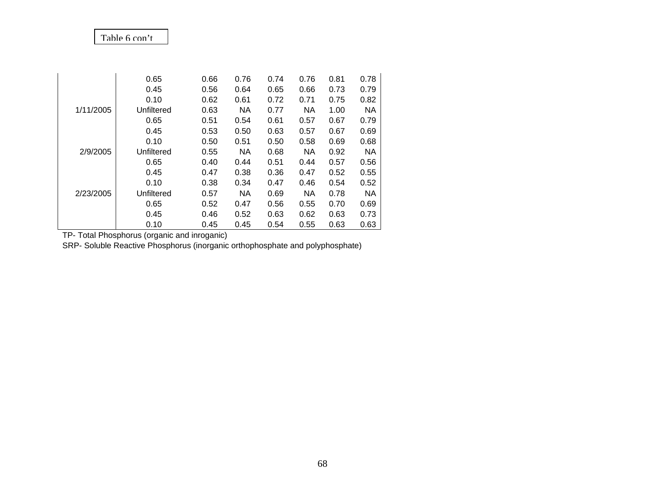## Table 6 con't

|           | 0.65       | 0.66 | 0.76      | 0.74 | 0.76      | 0.81 | 0.78 |
|-----------|------------|------|-----------|------|-----------|------|------|
|           | 0.45       | 0.56 | 0.64      | 0.65 | 0.66      | 0.73 | 0.79 |
|           | 0.10       | 0.62 | 0.61      | 0.72 | 0.71      | 0.75 | 0.82 |
| 1/11/2005 | Unfiltered | 0.63 | NA        | 0.77 | <b>NA</b> | 1.00 | NA.  |
|           | 0.65       | 0.51 | 0.54      | 0.61 | 0.57      | 0.67 | 0.79 |
|           | 0.45       | 0.53 | 0.50      | 0.63 | 0.57      | 0.67 | 0.69 |
|           | 0.10       | 0.50 | 0.51      | 0.50 | 0.58      | 0.69 | 0.68 |
| 2/9/2005  | Unfiltered | 0.55 | <b>NA</b> | 0.68 | <b>NA</b> | 0.92 | NA   |
|           | 0.65       | 0.40 | 0.44      | 0.51 | 0.44      | 0.57 | 0.56 |
|           | 0.45       | 0.47 | 0.38      | 0.36 | 0.47      | 0.52 | 0.55 |
|           | 0.10       | 0.38 | 0.34      | 0.47 | 0.46      | 0.54 | 0.52 |
| 2/23/2005 | Unfiltered | 0.57 | NA        | 0.69 | <b>NA</b> | 0.78 | NA.  |
|           | 0.65       | 0.52 | 0.47      | 0.56 | 0.55      | 0.70 | 0.69 |
|           | 0.45       | 0.46 | 0.52      | 0.63 | 0.62      | 0.63 | 0.73 |
|           | 0.10       | 0.45 | 0.45      | 0.54 | 0.55      | 0.63 | 0.63 |

TP- Total Phosphorus (organic and inroganic)

SRP- Soluble Reactive Phosphorus (inorganic orthophosphate and polyphosphate)